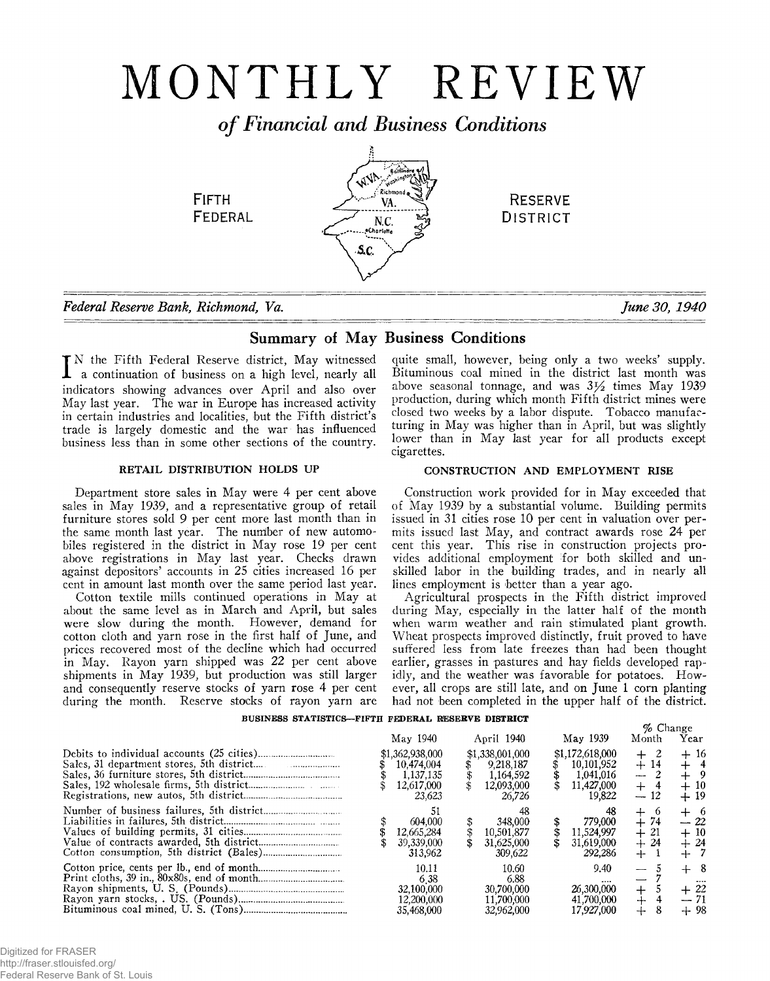# MONTHLY REVIEW

*o f Financial and Business Conditions*

**WA. Baltimore**  $\epsilon$ : Kichmond  $_{\bullet}$ " VA;  $N.C.$ 

&c.

**FIFTH** 

**FEDERAL** 

*Federal Reserve Bank, Richmond, Va. June 30, 1940*

# Summary of May Business Conditions

I N the Fifth Federal Reserve district, May witnessed a continuation of business on a high level, nearly all indicators showing advances over April and also over May last year. The war in Europe has increased activity in certain industries and localities, but the Fifth district's trade is largely domestic and the war has influenced business less than in some other sections of the country.

# RETAIL DISTRIBUTION HOLDS UP

Department store sales in May were 4 per cent above sales in May 1939, and a representative group of retail furniture stores sold 9 per cent more last month than in the same month last year. The number of new automobiles registered in the district in May rose 19 per cent above registrations in May last year. Checks drawn against depositors' accounts in 25 cities increased 16 per cent in amount last month over the same period last year.

Cotton textile mills continued operations in May at about the same level as in March and April, but sales were slow during the month. However, demand for cotton cloth and yarn rose in the first half of June, and prices recovered most of the decline which had occurred in May. Rayon yarn shipped was 22 per cent above shipments in May 1939, but production was still larger and consequently reserve stocks of yarn rose 4 per cent during the month. Reserve stocks of rayon yarn are

quite small, however, being only a two weeks' supply. Bituminous coal mined in the district last month was above seasonal tonnage, and was  $3\frac{1}{2}$  times May 1939 production, during which month Fifth district mines were closed two weeks by a labor dispute. Tobacco manufacturing in May was higher than in April, but was slightly lower than in May last year for all products except cigarettes.

**RESERVE DISTRICT** 

# CONSTRUCTION AND EMPLOYMENT RISE

Construction work provided for in May exceeded that of May 1939 by a substantial volume. Building permits issued in 31 cities rose 10 per cent in valuation over permits issued last May, and contract awards rose 24 per cent this year. This rise in construction projects provides additional employment for both skilled and unskilled labor in the building trades, and in nearly all lines employment is better than a year ago.

Agricultural prospects in the Fifth district improved during May, especially in the latter half of the month when warm weather and rain stimulated plant growth. Wheat prospects improved distinctly, fruit proved to have suffered less from late freezes than had been thought earlier, grasses in pastures and hay fields developed rapidly, and the weather was favorable for potatoes. However, all crops are still late, and on June 1 corn planting had not been completed in the upper half of the district.

## **BUSINESS STATISTICS— FIFTH FEDERAL RESERVE DISTRICT**

|  |                                                                    |                                                                   |                                                                    | $%$ Change                            |                                    |
|--|--------------------------------------------------------------------|-------------------------------------------------------------------|--------------------------------------------------------------------|---------------------------------------|------------------------------------|
|  | May 1940                                                           | April 1940                                                        | May 1939                                                           | Month                                 | Year                               |
|  | \$1,362,938,000<br>10.474.004<br>1.137.135<br>12,617,000<br>23,623 | \$1,338,001,000<br>9,218,187<br>1,164,592<br>12,093,000<br>26.726 | \$1,172,618,000<br>10,101,952<br>1,041,016<br>11,427,000<br>19.822 | $^{+}$<br>$+14$<br>--<br>$+$<br>$-12$ | $+16$<br>$+$ 9<br>$+10$<br>$+19$   |
|  | 604,000<br>12.665.284<br>39,339,000<br>313.962                     | 348,000<br>10,501,877<br>31,625,000<br>309,622                    | 779,000<br>11,524,997<br>31,619,000<br>292.286                     | O.<br>$+74$<br>$+21$<br>$+24$<br>$+$  | ┿<br>-6<br>$-22$<br>$+10$<br>$+24$ |
|  | 10.11<br>638<br>32,100,000<br>12.200.000<br>35,468,000             | 10.60<br>6.88<br>30.700.000<br>11.700.000<br>32,962,000           | 9.40<br>26,300,000<br>41,700,000<br>17.927.000                     | $\div$<br>┄                           | -8<br><br>$+22$<br>$+98$           |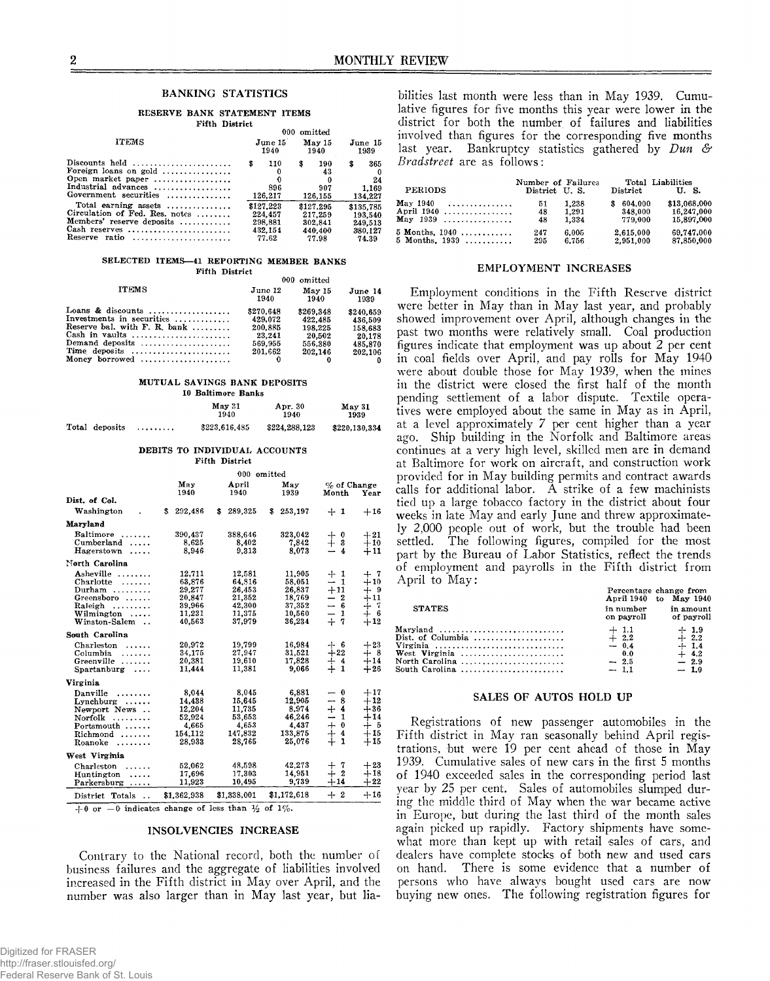## BANKING STATISTICS

#### **RESERVE BANK STATEMENT ITEMS Fifth District**

|                                                                                                              |                       | 000 omitted                      |                                     |
|--------------------------------------------------------------------------------------------------------------|-----------------------|----------------------------------|-------------------------------------|
| <b>ITEMS</b>                                                                                                 | June 15               | May 15                           | June 15                             |
|                                                                                                              | 1940                  | 1940                             | 1939                                |
| Discounts held<br>Foreign loans on gold<br>Open market paper<br>Industrial advances<br>Government securities | 110<br>896<br>126,217 | 190<br>S<br>43<br>907<br>126,155 | 365<br>\$<br>24<br>1.169<br>134,227 |
| Total earning assets                                                                                         | \$127.223             | \$127.295                        | \$135.785                           |
| Circulation of Fed. Res. notes                                                                               | 224.457               | 217.259                          | 193.540                             |
| Members' reserve deposits                                                                                    | 298,881               | 302.841                          | 249.513                             |
| Cash reserves                                                                                                | 432.154               | 440,400                          | 380.127                             |
| Reserve ratio                                                                                                | 77.62                 | 77.98                            | 74.39                               |

#### SELECTED ITEMS-41 REPORTING MEMBER BANKS **Fifth District**

| ruu veuv                                                 |                 |                |                 |
|----------------------------------------------------------|-----------------|----------------|-----------------|
|                                                          |                 | 000 omitted    |                 |
| <b>ITEMS</b>                                             | June 12<br>1940 | May 15<br>1940 | June 14<br>1939 |
| Loans & discounts                                        | \$270.648       | \$269.348      | \$240.659       |
| Investments in securities                                | 429.072         | 422.485        | 436,509         |
| Reserve bal. with $F. R. bank $                          | 200.885         | 198.225        | 158.683         |
| Cash in vaults                                           | 23.241          | 20.502         | 20.178          |
| Demand deposits $\ldots, \ldots, \ldots, \ldots, \ldots$ | 569,955         | 556,380        | 485.870         |
| Time deposits                                            | 201.662         | 202.146        | 202.106         |
| Money borrowed                                           |                 |                |                 |

#### **MUTUAL SAVINGS BANK DEPOSITS 10 Baltimore Banks**

|                |   | 17 DGLLINGIL DBILD  |                 |                |  |
|----------------|---|---------------------|-----------------|----------------|--|
|                |   | $M$ ay $31$<br>1940 | Apr. 30<br>1940 | May 31<br>1939 |  |
| Total deposits | . | \$223,616,485       | \$224,288,123   | \$220,130,334  |  |

#### **DEBITS TO INDIVIDUAL ACCOUNTS Fifth District**

|                                       |               | 000           | omitted       |                                       |       |
|---------------------------------------|---------------|---------------|---------------|---------------------------------------|-------|
|                                       | May<br>1940   | April<br>1940 | May<br>1939   | $%$ of Change<br>Month                | Year  |
| Dist. of Col.                         |               |               |               |                                       |       |
| Washington<br>$\bullet$               | 292,486<br>s. | 289,325<br>\$ | 253,197<br>\$ | $+1$                                  | $+16$ |
| Maryland                              |               |               |               |                                       |       |
| Baltimore                             | 390,437       | 388.646       | 323,042       | $+$ 0                                 | $+21$ |
| Cumberland<br>.                       | 8.625         | 8.402         | 7.842         | $^{+}$<br>3                           | $+10$ |
| Hagerstown<br>                        | 8.946         | 9.313         | 8.073         | 4<br>—                                | $+11$ |
| North Carolina                        |               |               |               |                                       |       |
| Asheville                             | 12.711        | 12.581        | 11.905        | $+1$                                  | $+7$  |
| Charlotte<br>.                        | 63.876        | 64,816        | 58.051        | $\mathbf{1}$<br>—                     | $+10$ |
| Durham $\ldots$                       | 29.277        | 26,453        | 26,837        | $+11$                                 | $+9$  |
| Greensboro                            | 20,847        | 21,352        | 18,769        | $-2$                                  | $+11$ |
| Raleigh                               | 39,966        | 42,300        | 37,352        | $-6$                                  | $+7$  |
| Wilmington<br>.                       | 11,231        | 11,375        | 10.560        | $\overline{\phantom{0}}$<br>1         | $+6$  |
| Winston-Salem<br>$\ddot{\phantom{a}}$ | 40.563        | 37,979        | 36,234        | $+$<br>7                              | $+12$ |
| South Carolina                        |               |               |               |                                       |       |
| Charleston<br>.                       | 20.972        | 19.799        | 16.984        | $+$ 6                                 | $+23$ |
| Columbia<br>.                         | 34,175        | 27,947        | 31.521        | $+22$                                 | $+8$  |
| Greenville<br>.                       | 20,381        | 19,610        | 17,828        | $\ddagger$<br>$\overline{\mathbf{4}}$ | $+14$ |
| Spartanburg<br>$\cdots$               | 11.444        | 11,381        | 9.066         | $\mathbf{1}$                          | $+26$ |
| Virginia                              |               |               |               |                                       |       |
| Danville<br>.                         | 8.044         | 8.045         | 6,881         | $\bf{0}$<br>-                         | $+17$ |
| Lynchburg                             | 14,438        | 15,645        | 12,905        | 8<br>--                               | $+12$ |
| Newport News                          | 12.204        | 11,735        | 8.974         | $\overline{\mathbf{4}}$<br>$+$        | $+36$ |
| Norfolk<br>$\sim$                     | 52,924        | 53,653        | 46.246        | $\mathbf{1}$<br>—                     | $+14$ |
| $Portsmooth$                          | 4.665         | 4,653         | 4.437         | $\ddagger$<br>$\ddot{\theta}$         | $+5$  |
| Richmond                              | 154,112       | 147.832       | 133,875       | 4                                     | $+15$ |
| Roanoke                               | 28.933        | 28,765        | 25,076        | $\div$<br>1                           | $+15$ |
| West Virginia                         |               |               |               |                                       |       |
| Charleston                            | 52.062        | 48,598        | 42,273        | -7<br>$^{+}$                          | $+23$ |
| Huntington<br>.                       | 17,696        | 17,303        | 14,951        | $\overline{2}$<br>┿                   | $+18$ |
| Parkersburg<br>.                      | 11.923        | 10,495        | 9.739         | $+14$                                 | $+22$ |
| District Totals<br>$\ddotsc$          | \$1,362,938   | \$1.338,001   | \$1,172,618   | $\boldsymbol{2}$<br>$+$               | $+16$ |

 $+0$  or  $-0$  indicates change of less than  $\frac{1}{2}$  of  $1\%$ .

## INSOLVENCIES INCREASE

Contrary to the National record, both the number of business failures and the aggregate of liabilities involved increased in the Fifth district in May over April, and the number was also larger than in May last year, but lia-

bilities last month were less than in May 1939. Cumulative figures for five months this year were lower in the district for both the number of failures and liabilities involved than figures for the corresponding five months last year. Bankruptcy statistics gathered by *Dun & Bradstreet* are as follows:

| <b>PERIODS</b>     | Number of Failures<br>District U.S. |       | Total Liabilities<br>District | U.S.         |
|--------------------|-------------------------------------|-------|-------------------------------|--------------|
| May 1940 $\ldots$  | 51                                  | 1.238 | 604,000                       | \$13,068,000 |
| April 1940         | 48                                  | 1.291 | 348.000                       | 16,247,000   |
| $May 1939  \dots $ | 48                                  | 1.334 | 779.000                       | 15,897,000   |
| $5$ Months, $1940$ | 247                                 | 6.005 | 2.615.000                     | 69.747.000   |
| 5 Months, $1939$   | 295                                 | 6.756 | 2.951.000                     | 87,850,000   |

## EMPLOYMENT INCREASES

Employment conditions in the Fifth Reserve district were better in May than in May last year, and probably showed improvement over April, although changes in the past two months were relatively small. Coal production figures indicate that employment was up about 2 per cent in coal fields over April, and pay rolls for May 1940 were about double those for May 1939, when the mines in the district were closed the first half of the month pending settlement of a labor dispute. Textile operatives were employed about the same in May as in April, at a level approximately 7 per cent higher than a year ago. Ship building in the Norfolk and Baltimore areas continues at a very high level, skilled men are in demand at Baltimore for work on aircraft, and construction work provided for in May building permits and contract awards calls for additional labor. A strike of a few machinists tied up a large tobacco factory in the district about four weeks in late May and early June and threw approximately 2,000 people out of work, but the trouble had been settled. The following figures, compiled for the most part by the Bureau of Labor Statistics, reflect the trends of employment and payrolls in. the Fifth district from April to May: **Percentage change from**

| <b>STATES</b>                                | in number<br>on payroll                               | April 1940 to May 1940<br>in amount<br>of payroll        |
|----------------------------------------------|-------------------------------------------------------|----------------------------------------------------------|
| Virginia<br>North Carolina<br>South Carolina | $+1.1$<br>$+2.2$<br>$-0.4$<br>0.0<br>$-2.5$<br>$-1.1$ | $+1.9$<br>$-2.2$<br>$+1.4$<br>$+4.2$<br>$-2.9$<br>$-1.0$ |

## SALES OF AUTOS HOLD UP

Registrations of new passenger automobiles in the Fifth district in May ran seasonally behind April registrations, but were 19 per cent ahead of those in May 1939. Cumulative sales of new cars in the first 5 months of 1940 exceeded sales in the corresponding period last year by 25 per cent. Sales of automobiles slumped during the middle third of May when the war became active in Europe, but during the last third of the month sales again picked up rapidly. Factory shipments have somewhat more than kept up with retail sales of cars, and dealers have complete stocks of both new and used cars on hand. There is some evidence that a number of persons who have always bought used cars are now buying new ones. The following registration figures for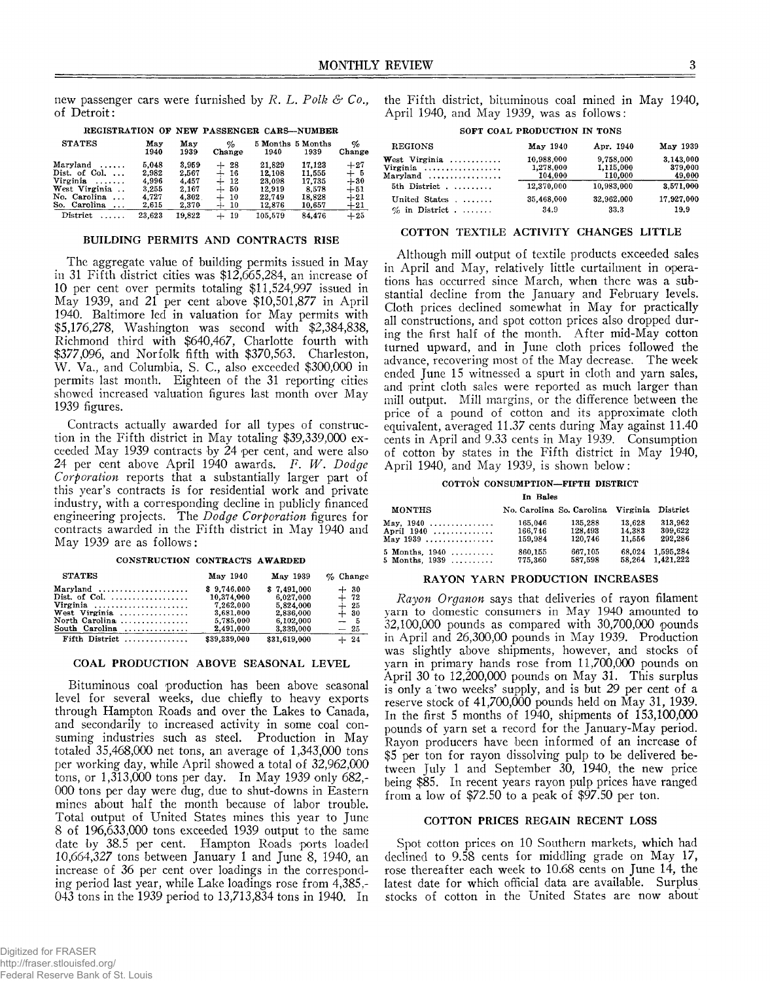new passenger cars were furnished by *R. L. Polk & Co.,* of Detroit:

| <b>STATES</b>            | May<br>1940 | May<br>1939 | $\phi_0$<br>Change | 1940    | 5 Months 5 Months<br>1939 | $\%$<br>Change |
|--------------------------|-------------|-------------|--------------------|---------|---------------------------|----------------|
| $Maryland$               | 5.048       | 3.959       | -28<br>$+$         | 21.829  | 17.123                    | $+27$          |
| Dist. of Col. $\ldots$   | 2,982       | 2.567       | $+16$              | 12.108  | 11.555                    | $+5$           |
| Virginia                 | 4.996       | 4.457       | $+12$              | 23.098  | 17.735                    | $+30$          |
| West Virginia            | 3.255       | 2.167       | $+50$              | 12.919  | 8.578                     | $+51$          |
| No. Carolina             | 4.727       | 4.302       | $+10$              | 22.749  | 18.828                    | $+21$          |
| So. Carolina<br>$\cdots$ | 2.615       | 2.370       | $+10$              | 12,876  | 10,657                    | $+21$          |
| District<br>.            | 23.623      | 19.822      | $+19$              | 105.579 | 84.476                    | $+25$          |
|                          |             |             |                    |         |                           |                |

## **REGISTRATION OF NEW PASSENGER CARS— NUMBER**

## BUILDING PERMITS AND CONTRACTS RISE

The aggregate value of building permits issued in May in 31 Fifth district cities was \$12,665,284, an increase of 10 per cent over permits totaling \$11,524,997 issued in May 1939, and 21 per cent above \$10,501,877 in April 1940. Baltimore led in valuation for May permits with \$5,176,278, Washington was second with \$2,384,838, Richmond third with \$640,467, Charlotte fourth with \$377,096, and Norfolk fifth with \$370,563. Charleston, W. Va., and Columbia, S. C., also exceeded \$300,000 in permits last month. Eighteen of the 31 reporting cities showed increased valuation figures last month over May 1939 figures.

Contracts actually awarded for all types of construction in the Fifth district in May totaling \$39,339,000 exceeded May 1939 contracts by 24 per cent, and were also 24 per cent above April 1940 awards. *F. W . Dodge Corporation* reports that a substantially larger part of this year's contracts is for residential work and private industry, with a corresponding decline in publicly financed engineering projects. The *Dodge Corporation* figures for contracts awarded in the Fifth district in May 1940 and May 1939 are as follows:

## **CONSTRUCTION CONTRACTS AWARDED**

| <b>STATES</b>                                                                                                              | May 1940                                                                      | May 1939                                                                     | $\%$ Change                                        |
|----------------------------------------------------------------------------------------------------------------------------|-------------------------------------------------------------------------------|------------------------------------------------------------------------------|----------------------------------------------------|
| Maryland<br>Dist. of Col. $\ldots$<br>Virginia<br>West Virginia<br>North Carolina $\ldots$ ,,,,,,,,,,,,,<br>South Carolina | \$9.746.000<br>10,374,000<br>7.262.000<br>3.681.000<br>5.785,000<br>2.491.000 | \$7.491.000<br>6.027.000<br>5.824.000<br>2,836,000<br>6.102.000<br>3.339.000 | $+30$<br>$+ 72$<br>$+25$<br>$+30$<br>$-5$<br>$-25$ |
| $Fifth$ District                                                                                                           | \$39,339,000                                                                  | \$31,619,000                                                                 | $+ 24$                                             |

## COAL PRODUCTION ABOVE SEASONAL LEVEL

Bituminous coal production has been above seasonal level for several weeks, due chiefly to heavy exports through Hampton Roads and over the Lakes to Canada, and secondarily to increased activity in some coal consuming industries such as steel. Production in May totaled 35,468,000 net tons, an average of 1,343,000 tons per working day, while April showed a total of 32,962,000 tons, or 1,313,000 tons per day. In May 1939 only 682,- 000 tons per day were dug, due to shut-downs in Eastern mines about half the month because of labor trouble. Total output of United States mines this year to June 8 of 196,633,000 tons exceeded 1939 output to the same date by 38.5 per cent. Hampton Roads ports loaded 10,664,327 tons between January 1 and June 8, 1940, an increase of 36 per cent over loadings in the corresponding period last year, while Lake loadings rose from 4,385,- 043 tons in the 1939 period to 13,713,834 tons in 1940. In

the Fifth district, bituminous coal mined in May 1940, April 1940, and May 1939, was as follows:

|  | SOFT COAL PRODUCTION IN TONS |  |
|--|------------------------------|--|
|  |                              |  |

| <b>REGIONS</b>                     | May 1940   | Apr. 1940  | May 1939   |
|------------------------------------|------------|------------|------------|
| West Virginia $\ldots$             | 10,988,000 | 9.758.000  | 3.143.000  |
| Virginia                           | 1,278,000  | 1.115.000  | 379,000    |
| $Maryland \dots \dots \dots \dots$ | 104.000    | 110,000    | 49,000     |
| 5th District                       | 12.370.000 | 10.983.000 | 3.571,000  |
| United States                      | 35,468,000 | 32,962,000 | 17,927,000 |
| $\%$ in District                   | 34.9       | 33.3       | 19.9       |

## COTTON TEXTILE ACTIVITY CHANGES LITTLE

Although mill output of textile products exceeded sales in April and May, relatively little curtailment in operations has occurred since March, when there was a substantial decline from the January and February levels. Cloth prices declined somewhat in May for practically all constructions, and spot cotton prices also dropped during the first half of the month. After mid-May cotton turned upward, and in June cloth prices followed the advance, recovering most of the May decrease. The week ended June 15 witnessed a spurt in cloth and yarn sales, and print cloth sales were reported as much larger than mill output. Mill margins, or the difference between the price of a pound of cotton and its approximate cloth equivalent,, averaged 11.37 cents during May against 11.40 cents in April and 9.33 cents in May 1939. Consumption of cotton by states in the Fifth district in May 1940, April 1940, and May 1939, is shown below:

## **COTTON CONSUMPTION— FIFTH DISTRICT**

**In Bales**

| MONTHS           |         | No. Carolina So. Carolina Virginia District |        |                  |
|------------------|---------|---------------------------------------------|--------|------------------|
|                  | 165.046 | 135.288                                     | 13.628 | 313.962          |
| April 1940       | 166.746 | 128.493                                     | 14.383 | 309.622          |
| May 1939         | 159.984 | 120.746                                     | 11,556 | 292,286          |
| 5 Months. $1940$ | 860,155 | 667.105                                     |        | 68.024 1.595.284 |
| 5 Months, $1939$ | 775,360 | 587.598                                     |        | 58.264 1.421.222 |

## RAYON YARN PRODUCTION INCREASES

*Rayon Organon* says that deliveries of rayon filament yarn to domestic consumers in May 1940 amounted to 32,100,000 pounds as compared with 30,700,000 pounds in April and 26,300,00 pounds in May 1939. Production was slightly above shipments, however, and stocks of yarn in primary hands rose from 11,700,000 pounds on April 30 to 12,200,000 pounds on May 31. This surplus is only a 'two weeks' supply, and is but 29 per cent of a reserve stock of 41,700,000 pounds held on May 31, 1939. In the first 5 months of 1940, shipments of 153,100,000 pounds of yarn set a record for the January-May period. Rayon producers have been informed of an increase of \$5 per ton for rayon dissolving pulp to be delivered between July 1 and September 30, 1940, the new price being \$85. In recent years rayon pulp prices have ranged from a low of \$72.50 to a peak of \$97.50 per ton.

## COTTON PRICES REGAIN RECENT LOSS

Spot cotton prices on 10 Southern markets, which had declined to 9.58 cents for middling grade on May 17, rose thereafter each week to 10.68 cents on June 14, the latest date for which official data are available. Surplus stocks of cotton in the United States are now about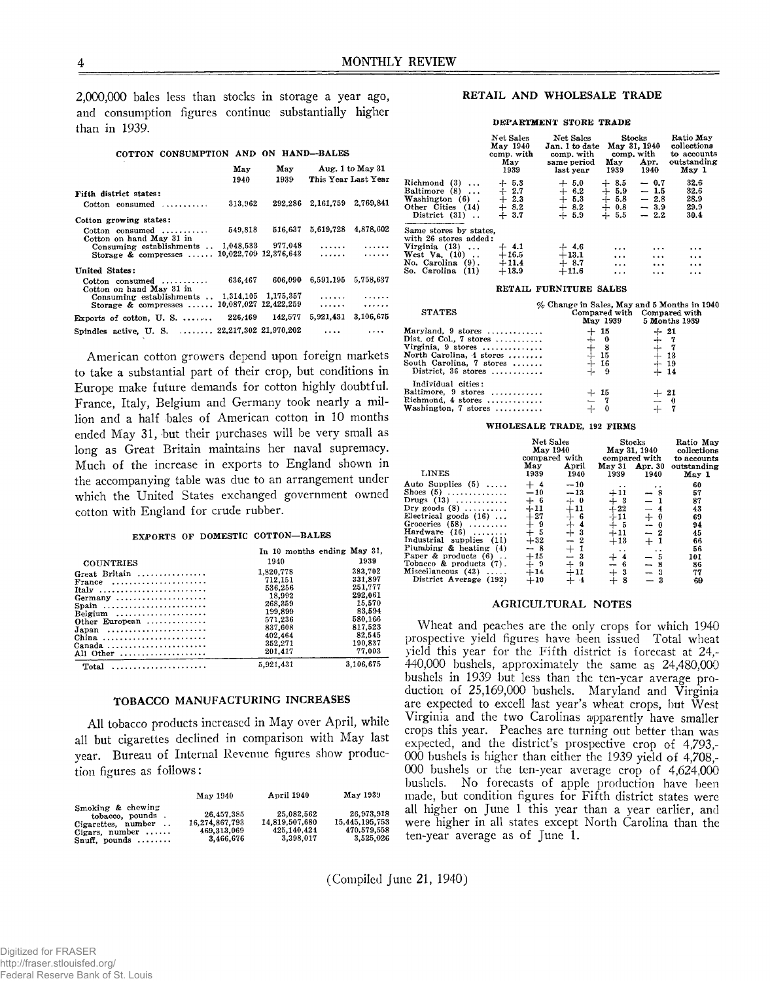2,000,000 bales less than stocks in storage a year ago, and consumption figures continue substantially higher than in 1939.

#### **COTTON CONSUMPTION AND ON HAND— BALES**

|                                                                      | May      | May                   | Aug. 1 to May 31            |                     |
|----------------------------------------------------------------------|----------|-----------------------|-----------------------------|---------------------|
|                                                                      | 1940     | 1939                  |                             | This Year Last Year |
| Fifth district states:                                               |          |                       |                             |                     |
| $\text{Cottom}$ consumed $\ldots \ldots \ldots$                      | 313.962  |                       | 292,286 2,161,759 2,769,841 |                     |
| Cotton growing states:                                               |          |                       |                             |                     |
| $Cotton$ consumed $\ldots \ldots \ldots$<br>Cotton on hand May 31 in | 549.818  | 516.637               |                             | 5.619,728 4.878,602 |
| Consuming establishments $. 1,048,533$ 977,048                       |          |                       |                             |                     |
| Storage & compresses  10,022,709 12,376.643                          |          |                       |                             |                     |
| United States:                                                       |          |                       |                             |                     |
| $Cotton$ consumed $\ldots \ldots \ldots$<br>Cotton on hand May 31 in | 636.467  | 606.090               | 6,591,195                   | 5.758.637           |
| Consuming establishments . 1,314,105 1,175,357                       |          |                       |                             |                     |
| Storage $\&$ compresses $\ldots$                                     |          | 10.087.027 12.422.259 | .                           | .                   |
| Exports of cotton, $U. S.$                                           | 226, 169 | 142,577               | 5,921,431                   | 3,106,675           |
| Spindles active, U.S.  22,217,302 21,970,202                         |          |                       |                             |                     |

American cotton growers depend upon foreign markets to take a substantial part of their crop, but conditions in Europe make future demands for cotton highly doubtful. France, Italy, Belgium and Germany took nearly a million and a half bales of American cotton in 10 months ended May 31, but their purchases will be very small as long as Great Britain maintains her naval supremacy. Much of the increase in exports to England shown in the accompanying table was due to an arrangement under which the United States exchanged government owned cotton with England for crude rubber.

## **EXiPORTS OF DOMESTIC COTTON— BALES**

|                                                                  | In 10 months ending May 31. |                    |
|------------------------------------------------------------------|-----------------------------|--------------------|
| <b>COUNTRIES</b>                                                 | 1940                        | 1939               |
| Great Britain                                                    | 1.320.778<br>712.151        | 383.702<br>331,897 |
| France<br>Italy                                                  | 536.256<br>18.992           | 251.777<br>292,061 |
| Germany<br>Spain                                                 | 268.359                     | 15.570             |
| Belgium<br>Other European                                        | 199,899<br>571.236          | 83.594<br>580.166  |
| $Japan \dots \dots \dots \dots \dots \dots \dots \dots$<br>China | 837.608<br>402.464          | 817.523<br>82.545  |
| Canada<br>All Other                                              | 352,271<br>201.417          | 190,837<br>77,003  |
|                                                                  | 5,921,431                   | 3,106,675          |

## TOBACCO MANUFACTURING INCREASES

All tobacco products increased in May over April, while all but cigarettes declined in comparison with May last year. Bureau of Internal Revenue figures show production figures as follows:

|                                                                                                                  | May 1940                                                 | April 1940                                                 | May 1939                                                 |
|------------------------------------------------------------------------------------------------------------------|----------------------------------------------------------|------------------------------------------------------------|----------------------------------------------------------|
| Smoking & chewing<br>tobacco, pounds.<br>Cigarettes, number<br>Cigars, number $\ldots$<br>Snuff, pounds $\ldots$ | 26.457.385<br>16.274.867.793<br>469.313.069<br>3.466.676 | 25.082.562<br>14.819.507.680<br>425, 140, 424<br>3.398.017 | 26.973.918<br>15.445.195.753<br>470.579.558<br>3,525,026 |

## RETAIL AND WHOLESALE TRADE

### **DEPARTMENT STORE TRADE**

|                                                                                                                               | Net Sales<br>May 1940<br>comp. with<br>May<br>1939 | Net Sales<br>Jan. 1 to date<br>comp. with<br>same period<br>last year | Stocks<br>May 31, 1940<br>comp, with<br>May<br>1939                            | Apr.<br>1940                                   | Ratio May<br>collections<br>to accounts<br>outstanding<br>May 1 |
|-------------------------------------------------------------------------------------------------------------------------------|----------------------------------------------------|-----------------------------------------------------------------------|--------------------------------------------------------------------------------|------------------------------------------------|-----------------------------------------------------------------|
| $Richard(3) \ldots$<br>Baltimore (8)<br>Washington (6).<br>Other Cities (14)<br>District $(31)$                               | $+ 5.3$<br>$+2.7$<br>$+2.3$<br>$+8.2$<br>$+3.7$    | $+ 5.0$<br>$+ 6.2$<br>$+5.3$<br>$+8.2$<br>$+5.9$                      | 8.5<br>┿<br>$\boldsymbol{+}$<br>5.9<br>$+5.8$<br>$\div$<br>0.8<br>$+$<br>- 5.5 | $-0.7$<br>$-1.5$<br>$-2.8$<br>$-3.9$<br>$-2.2$ | 32.6<br>32.6<br>28.9<br>29.9<br>30.4                            |
| Same stores by states.<br>with 26 stores added:<br>Virginia $(13)$<br>West Va. (10)<br>No. Carolina (9).<br>So. Carolina (11) | $+4.1$<br>$+16.5$<br>$+11.4$<br>$+13.9$            | $+4.6$<br>$+13.1$<br>$+8.7$<br>$+11.6$                                | $\cdots$<br>$\cdots$<br>$\cdots$<br>$\cdots$                                   | $\cdots$<br>$\cdots$<br>$\cdots$<br>           | $\cdots$<br>$\ddotsc$<br><br>.                                  |

#### **RETAIL FURNITURE SALES**

| <b>STATES</b>              | % Change in Sales, May and 5 Months in 1940<br>May 1939 | Compared with Compared with<br>5 Months 1939 |
|----------------------------|---------------------------------------------------------|----------------------------------------------|
| Maryland, $9$ stores       | $+15$                                                   | $+21$                                        |
| Dist. of Col., $7$ stores  | $+ 0$                                                   |                                              |
| Virginia, $9$ stores       | - 8                                                     |                                              |
| North Carolina, 4 stores   | $+15$                                                   | $+13$                                        |
| South Carolina, 7 stores   | $+16$                                                   | $+19$                                        |
| District. $36$ stores      | $+ 9$                                                   | $+ 14$                                       |
| Individual cities:         |                                                         |                                              |
| Baltimore, 9 stores        | $+15$                                                   | $+21$                                        |
| $Richard, 4 stores  \dots$ |                                                         | $- 0$                                        |
| Washington, 7 stores       |                                                         |                                              |

## **WHOLESALE TRADE, 192 FIRMS**

|                            | Net Sales<br>May 1940<br>compared with |               | $\rm{Stocks}$<br>May 31, 1940<br>compared with |          | Ratio May<br>collections<br>to accounts |
|----------------------------|----------------------------------------|---------------|------------------------------------------------|----------|-----------------------------------------|
| LINES                      | May<br>1939                            | April<br>1940 | May 31 Apr. 30<br>1939                         | 1940     | outstanding<br>May 1                    |
|                            |                                        |               |                                                |          |                                         |
| Auto Supplies $(5)$        | $+4$                                   | $-10$         | . .                                            |          | 60                                      |
| Shoes $(5)$                | $-10$                                  | $-13$         | $+11$                                          | $-8$     | 57                                      |
| Drugs $(13)$               | $+6$                                   | $+ 0$         | $+3$                                           | $-1$     | 87                                      |
| Dry goods $(8)$            | $+11$                                  | $+11$         | $+22$                                          | $-4$     | 43                                      |
| Electrical goods $(16)$    | $+27$                                  | $+ 6$         | $+11$                                          | $+0$     | 69                                      |
| Groceries $(58)$           |                                        |               | $+5$                                           | -<br>- 0 | 94                                      |
| Hardware $(16)$            | $+9$<br>$+5$                           | $+$ 4         | $+11$                                          | $-2$     | 45                                      |
| Industrial supplies (11)   | $+32$                                  | $-2$          | $+13$                                          | $+1$     | 66                                      |
| Plumbing & heating $(4)$   | $-8$                                   | $+1$          | $\cdots$                                       |          | 56                                      |
| Paper & products $(6)$ .   | $+15$                                  | $-3$          | $+$ 4                                          | - 5      | 101                                     |
| Tobacco & products $(7)$ . | $+9$                                   | $+9$          | $-6$                                           | $-8$     | 86                                      |
| Miscellaneous $(43)$       | $+14$                                  | $+11$         | $+3$                                           | $-3$     | 77                                      |
| District Average (192)     | $+10$                                  | $+$ 4         | $+8$                                           | $-3$     | 69                                      |

## AGRICULTURAL NOTES

Wheat and peaches are the only crops for which 1940 prospective yield figures have been issued Total wheat yield this year for the Fifth district is forecast at 24,- 440,000 bushels, approximately the same as 24,480,000 bushels in 1939 but less than the ten-year average production of 25,169,000 bushels. Maryland and Virginia are expected to excell last year's wheat crops, but West Virginia and the two Carolinas apparently have smaller crops this year. Peaches are turning out better than was expected, and the district's prospective crop of 4,793,- 000 bushels is higher than either the 1939 yield of 4,708,- 000 bushels or the ten-year average crop of 4,624,000 bushels. No forecasts of apple production have been made, but condition figures for Fifth district states were all higher on June 1 this year than a year earlier, and were higher in all states except North Carolina than the ten-year average as of June 1.

(Compiled June 21, 1940)